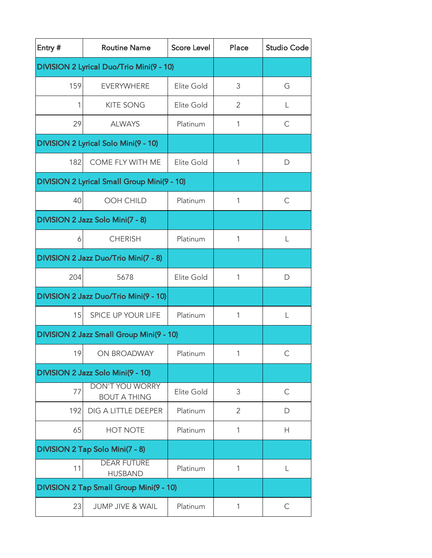| Entry # | <b>Routine Name</b>                           | <b>Score Level</b> | Place          | <b>Studio Code</b> |
|---------|-----------------------------------------------|--------------------|----------------|--------------------|
|         | DIVISION 2 Lyrical Duo/Trio Mini(9 - 10)      |                    |                |                    |
| 159     | <b>EVERYWHERE</b>                             | Elite Gold         | 3              | G                  |
| 1       | <b>KITE SONG</b>                              | Elite Gold         | 2              | L                  |
| 29      | <b>ALWAYS</b>                                 | Platinum           | 1              | С                  |
|         | DIVISION 2 Lyrical Solo Mini(9 - 10)          |                    |                |                    |
| 182     | COME FLY WITH ME                              | Elite Gold         | 1              | D                  |
|         | DIVISION 2 Lyrical Small Group Mini(9 - 10)   |                    |                |                    |
| 40      | <b>OOH CHILD</b>                              | Platinum           | 1              | C                  |
|         | DIVISION 2 Jazz Solo Mini(7 - 8)              |                    |                |                    |
| 6       | <b>CHERISH</b>                                | Platinum           | 1              | L                  |
|         | DIVISION 2 Jazz Duo/Trio Mini(7 - 8)          |                    |                |                    |
| 204     | 5678                                          | Elite Gold         | 1              | D                  |
|         | DIVISION 2 Jazz Duo/Trio Mini(9 - 10)         |                    |                |                    |
| 15      | <b>SPICE UP YOUR LIFE</b>                     | Platinum           | 1              | L                  |
|         | DIVISION 2 Jazz Small Group Mini(9 - 10)      |                    |                |                    |
| 19      | ON BROADWAY                                   | Platinum           | $\mathbf{1}$   | $\mathsf{C}$       |
|         | DIVISION 2 Jazz Solo Mini(9 - 10)             |                    |                |                    |
| 77      | <b>DON'T YOU WORRY</b><br><b>BOUT A THING</b> | Elite Gold         | 3              | $\mathsf{C}$       |
| 192     | DIG A LITTLE DEEPER                           | Platinum           | $\overline{2}$ | D                  |
| 65      | <b>HOT NOTE</b>                               | Platinum           | 1              | Н                  |
|         | DIVISION 2 Tap Solo Mini(7 - 8)               |                    |                |                    |
| 11      | <b>DEAR FUTURE</b><br><b>HUSBAND</b>          | Platinum           | 1              | L                  |
|         | DIVISION 2 Tap Small Group Mini(9 - 10)       |                    |                |                    |
| 23      | <b>JUMP JIVE &amp; WAIL</b>                   | Platinum           | 1              | $\mathsf C$        |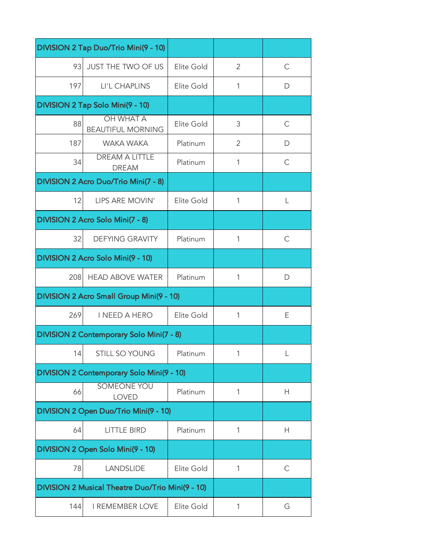|     | DIVISION 2 Tap Duo/Trio Mini(9 - 10)             |            |                |              |
|-----|--------------------------------------------------|------------|----------------|--------------|
| 93  | JUST THE TWO OF US                               | Elite Gold | $\overline{2}$ | C            |
| 197 | LI'L CHAPLINS                                    | Elite Gold | 1              | D            |
|     | DIVISION 2 Tap Solo Mini(9 - 10)                 |            |                |              |
| 88  | <b>OH WHAT A</b><br><b>BEAUTIFUL MORNING</b>     | Elite Gold | 3              | $\mathsf{C}$ |
| 187 | WAKA WAKA                                        | Platinum   | $\overline{2}$ | D            |
| 34  | <b>DREAM A LITTLE</b><br><b>DREAM</b>            | Platinum   | 1              | C            |
|     | DIVISION 2 Acro Duo/Trio Mini(7 - 8)             |            |                |              |
| 12  | LIPS ARE MOVIN'                                  | Elite Gold | 1              | L            |
|     | DIVISION 2 Acro Solo Mini(7 - 8)                 |            |                |              |
| 32  | <b>DEFYING GRAVITY</b>                           | Platinum   | 1              | $\mathsf{C}$ |
|     | DIVISION 2 Acro Solo Mini(9 - 10)                |            |                |              |
| 208 | <b>HEAD ABOVE WATER</b>                          | Platinum   | 1              | D            |
|     | DIVISION 2 Acro Small Group Mini(9 - 10)         |            |                |              |
| 269 | I NEED A HERO                                    | Elite Gold | 1              | Ε            |
|     | <b>DIVISION 2 Contemporary Solo Mini(7 - 8)</b>  |            |                |              |
| 14  | STILL SO YOUNG                                   | Platinum   | $\mathbf{1}$   | $\perp$      |
|     | DIVISION 2 Contemporary Solo Mini(9 - 10)        |            |                |              |
| 66  | <b>SOMEONE YOU</b><br><b>LOVED</b>               | Platinum   | 1              | Н            |
|     | DIVISION 2 Open Duo/Trio Mini(9 - 10)            |            |                |              |
| 64  | <b>LITTLE BIRD</b>                               | Platinum   | 1              | Н            |
|     | DIVISION 2 Open Solo Mini(9 - 10)                |            |                |              |
| 78  | <b>LANDSLIDE</b>                                 | Elite Gold | 1              | $\mathsf{C}$ |
|     | DIVISION 2 Musical Theatre Duo/Trio Mini(9 - 10) |            |                |              |
| 144 | <b>I REMEMBER LOVE</b>                           | Elite Gold | 1              | G            |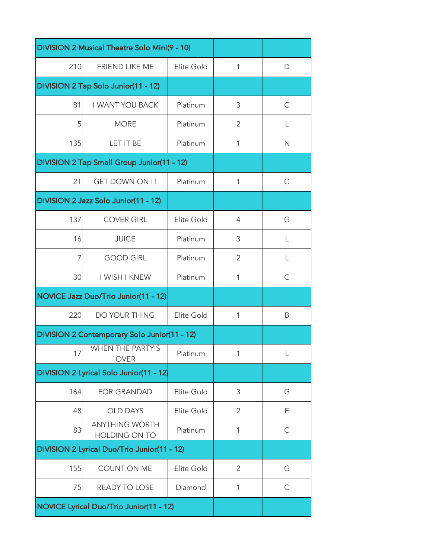| DIVISION 2 Musical Theatre Solo Mini(9 - 10) |                                              |            |                |              |
|----------------------------------------------|----------------------------------------------|------------|----------------|--------------|
| 210                                          | FRIEND LIKE ME                               | Elite Gold | 1              | D            |
|                                              | DIVISION 2 Tap Solo Junior(11 - 12)          |            |                |              |
| 81                                           | <b>I WANT YOU BACK</b>                       | Platinum   | 3              | $\mathsf{C}$ |
| 5                                            | <b>MORE</b>                                  | Platinum   | 2              | L            |
| 135                                          | LET IT BE                                    | Platinum   | 1              | $\mathsf{N}$ |
|                                              | DIVISION 2 Tap Small Group Junior(11 - 12)   |            |                |              |
| 21                                           | <b>GET DOWN ON IT</b>                        | Platinum   | 1              | $\mathsf{C}$ |
|                                              | DIVISION 2 Jazz Solo Junior(11 - 12)         |            |                |              |
| 137                                          | <b>COVER GIRL</b>                            | Elite Gold | $\overline{4}$ | G            |
| 16                                           | <b>JUICE</b>                                 | Platinum   | 3              | L            |
| 7                                            | <b>GOOD GIRL</b>                             | Platinum   | $\overline{2}$ | L            |
| 30                                           | I WISH I KNEW                                | Platinum   | 1              | $\mathsf C$  |
|                                              | NOVICE Jazz Duo/Trio Junior(11 - 12)         |            |                |              |
| 220                                          | DO YOUR THING                                | Elite Gold | 1              | B            |
|                                              | DIVISION 2 Contemporary Solo Junior(11 - 12) |            |                |              |
| 17                                           | <b>WHEN THE PARTY'S</b><br><b>OVER</b>       | Platinum   | $\mathbf{1}$   | $\mathsf{L}$ |
|                                              | DIVISION 2 Lyrical Solo Junior(11 - 12)      |            |                |              |
| 164                                          | <b>FOR GRANDAD</b>                           | Elite Gold | 3              | G            |
| 48                                           | <b>OLD DAYS</b>                              | Elite Gold | 2              | Ε            |
| 83                                           | <b>ANYTHING WORTH</b><br>HOLDING ON TO       | Platinum   | 1              | $\mathsf{C}$ |
| DIVISION 2 Lyrical Duo/Trio Junior(11 - 12)  |                                              |            |                |              |
| 155                                          | COUNT ON ME                                  | Elite Gold | $\overline{2}$ | G            |
| 75                                           | READY TO LOSE                                | Diamond    | 1              | C            |
|                                              | NOVICE Lyrical Duo/Trio Junior(11 - 12)      |            |                |              |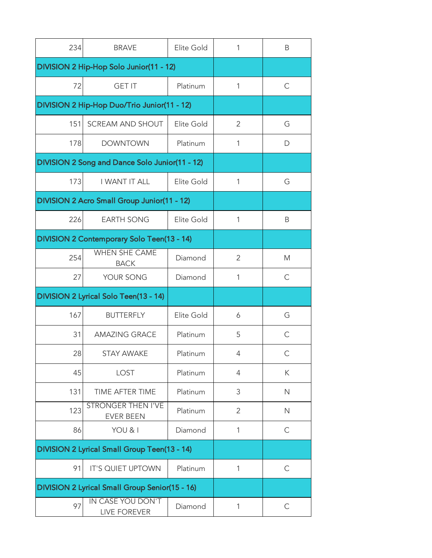| 234 | <b>BRAVE</b>                                   | Elite Gold | 1              | B            |
|-----|------------------------------------------------|------------|----------------|--------------|
|     | DIVISION 2 Hip-Hop Solo Junior(11 - 12)        |            |                |              |
| 72  | <b>GET IT</b>                                  | Platinum   | 1              | С            |
|     | DIVISION 2 Hip-Hop Duo/Trio Junior(11 - 12)    |            |                |              |
| 151 | SCREAM AND SHOUT                               | Elite Gold | 2              | G            |
| 178 | <b>DOWNTOWN</b>                                | Platinum   | 1              | D            |
|     | DIVISION 2 Song and Dance Solo Junior(11 - 12) |            |                |              |
| 173 | I WANT IT ALL                                  | Elite Gold | 1              | G            |
|     | DIVISION 2 Acro Small Group Junior(11 - 12)    |            |                |              |
| 226 | <b>EARTH SONG</b>                              | Elite Gold | 1              | Β            |
|     | DIVISION 2 Contemporary Solo Teen(13 - 14)     |            |                |              |
| 254 | <b>WHEN SHE CAME</b><br><b>BACK</b>            | Diamond    | $\overline{2}$ | M            |
| 27  | YOUR SONG                                      | Diamond    | 1              | $\mathsf{C}$ |
|     | DIVISION 2 Lyrical Solo Teen(13 - 14)          |            |                |              |
| 167 | <b>BUTTERFLY</b>                               | Elite Gold | 6              | G            |
| 31  | <b>AMAZING GRACE</b>                           | Platinum   | 5              | C            |
| 28  | STAY AWAKE                                     | Platinum   | $\overline{4}$ | C            |
| 45  | LOST                                           | Platinum   | $\overline{4}$ | К            |
| 131 | TIME AFTER TIME                                | Platinum   | 3              | $\mathsf{N}$ |
| 123 | <b>STRONGER THEN I'VE</b><br><b>EVER BEEN</b>  | Platinum   | 2              | N            |
| 86  | YOU & I                                        | Diamond    | 1              | $\mathsf{C}$ |
|     | DIVISION 2 Lyrical Small Group Teen(13 - 14)   |            |                |              |
| 91  | IT'S QUIET UPTOWN                              | Platinum   | 1              | $\mathsf{C}$ |
|     | DIVISION 2 Lyrical Small Group Senior(15 - 16) |            |                |              |
| 97  | IN CASE YOU DON'T<br>LIVE FOREVER              | Diamond    | 1              | $\mathsf{C}$ |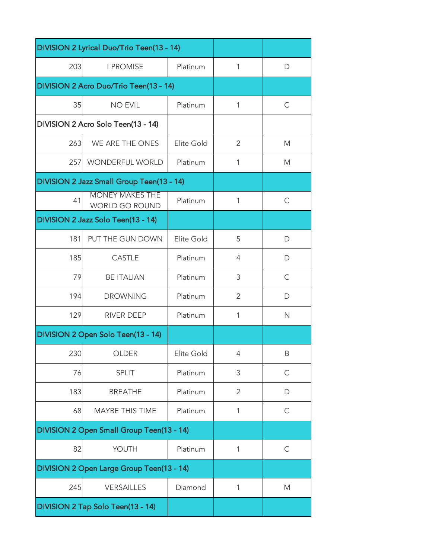| DIVISION 2 Lyrical Duo/Trio Teen(13 - 14) |                                                 |            |                |              |
|-------------------------------------------|-------------------------------------------------|------------|----------------|--------------|
| 203                                       | <b>I PROMISE</b>                                | Platinum   | 1              | D            |
|                                           | DIVISION 2 Acro Duo/Trio Teen(13 - 14)          |            |                |              |
| 35                                        | <b>NO EVIL</b>                                  | Platinum   | 1              | $\mathsf{C}$ |
|                                           | DIVISION 2 Acro Solo Teen(13 - 14)              |            |                |              |
| 263                                       | WE ARE THE ONES                                 | Elite Gold | 2              | M            |
| 257                                       | <b>WONDERFUL WORLD</b>                          | Platinum   | 1              | M            |
|                                           | DIVISION 2 Jazz Small Group Teen(13 - 14)       |            |                |              |
| 41                                        | <b>MONEY MAKES THE</b><br><b>WORLD GO ROUND</b> | Platinum   | 1              | C            |
|                                           | DIVISION 2 Jazz Solo Teen(13 - 14)              |            |                |              |
| 181                                       | PUT THE GUN DOWN                                | Elite Gold | 5              | D            |
| 185                                       | <b>CASTLE</b>                                   | Platinum   | $\overline{4}$ | D            |
| 79                                        | <b>BE ITALIAN</b>                               | Platinum   | 3              | C            |
| 194                                       | <b>DROWNING</b>                                 | Platinum   | $\overline{2}$ | D            |
| 129                                       | <b>RIVER DEEP</b>                               | Platinum   | 1              | $\mathsf{N}$ |
|                                           | DIVISION 2 Open Solo Teen(13 - 14)              |            |                |              |
| 230                                       | OLDER                                           | Elite Gold | $\overline{4}$ | B            |
| 76                                        | <b>SPLIT</b>                                    | Platinum   | 3              | $\mathsf{C}$ |
| 183                                       | <b>BREATHE</b>                                  | Platinum   | 2              | D            |
| 68                                        | MAYBE THIS TIME                                 | Platinum   | 1              | С            |
| DIVISION 2 Open Small Group Teen(13 - 14) |                                                 |            |                |              |
| 82                                        | YOUTH                                           | Platinum   | 1              | $\mathsf{C}$ |
|                                           | DIVISION 2 Open Large Group Teen(13 - 14)       |            |                |              |
| 245                                       | <b>VERSAILLES</b>                               | Diamond    | 1              | M            |
| DIVISION 2 Tap Solo Teen(13 - 14)         |                                                 |            |                |              |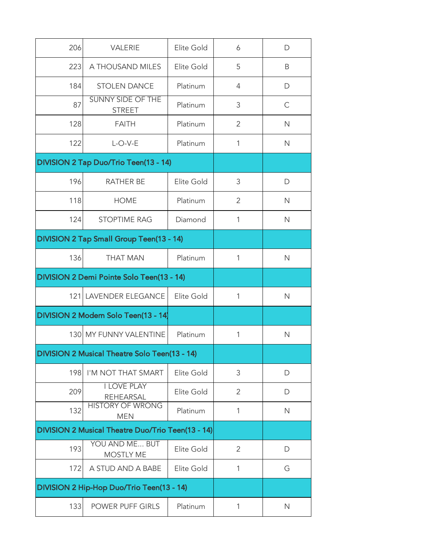| 206 | VALERIE                                           | Elite Gold | 6              | D            |
|-----|---------------------------------------------------|------------|----------------|--------------|
| 223 | A THOUSAND MILES                                  | Elite Gold | 5              | B            |
| 184 | <b>STOLEN DANCE</b>                               | Platinum   | $\overline{4}$ | D            |
| 87  | <b>SUNNY SIDE OF THE</b><br><b>STREET</b>         | Platinum   | 3              | $\mathsf{C}$ |
| 128 | <b>FAITH</b>                                      | Platinum   | $\overline{2}$ | $\mathsf{N}$ |
| 122 | $L$ -O-V-E                                        | Platinum   | 1              | $\mathsf{N}$ |
|     | DIVISION 2 Tap Duo/Trio Teen(13 - 14)             |            |                |              |
| 196 | <b>RATHER BE</b>                                  | Elite Gold | 3              | D            |
| 118 | <b>HOME</b>                                       | Platinum   | $\overline{2}$ | $\mathsf{N}$ |
| 124 | <b>STOPTIME RAG</b>                               | Diamond    | 1              | $\mathsf{N}$ |
|     | DIVISION 2 Tap Small Group Teen(13 - 14)          |            |                |              |
| 136 | <b>THAT MAN</b>                                   | Platinum   | 1              | $\mathsf{N}$ |
|     | DIVISION 2 Demi Pointe Solo Teen(13 - 14)         |            |                |              |
|     | 121 LAVENDER ELEGANCE                             | Elite Gold | 1              | $\mathsf{N}$ |
|     | DIVISION 2 Modern Solo Teen(13 - 14)              |            |                |              |
|     | 130 MY FUNNY VALENTINE                            | Platinum   | 1              | $\mathsf{N}$ |
|     | DIVISION 2 Musical Theatre Solo Teen(13 - 14)     |            |                |              |
| 198 | I'M NOT THAT SMART                                | Elite Gold | 3              | D            |
| 209 | <b>I LOVE PLAY</b><br><b>REHEARSAL</b>            | Elite Gold | $\overline{2}$ | D            |
| 132 | <b>HISTORY OF WRONG</b><br><b>MEN</b>             | Platinum   | 1              | $\mathsf{N}$ |
|     | DIVISION 2 Musical Theatre Duo/Trio Teen(13 - 14) |            |                |              |
| 193 | YOU AND ME BUT<br><b>MOSTLY ME</b>                | Elite Gold | 2              | D            |
| 172 | A STUD AND A BABE                                 | Elite Gold | 1              | G            |
|     | DIVISION 2 Hip-Hop Duo/Trio Teen(13 - 14)         |            |                |              |
| 133 | POWER PUFF GIRLS                                  | Platinum   | 1              | $\mathsf{N}$ |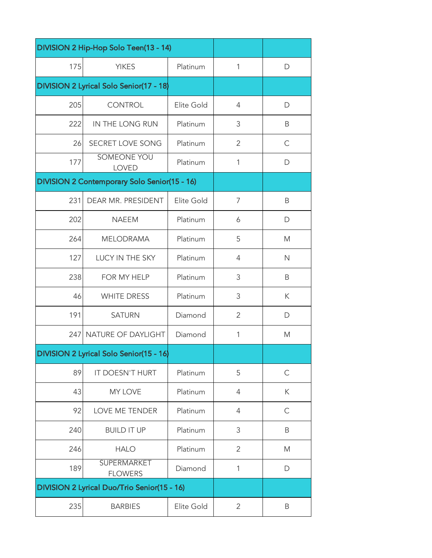| DIVISION 2 Hip-Hop Solo Teen(13 - 14)       |                                              |            |                |              |
|---------------------------------------------|----------------------------------------------|------------|----------------|--------------|
| 175                                         | <b>YIKES</b>                                 | Platinum   | 1              | D            |
|                                             | DIVISION 2 Lyrical Solo Senior(17 - 18)      |            |                |              |
| 205                                         | <b>CONTROL</b>                               | Elite Gold | $\overline{4}$ | $\mathsf{D}$ |
| 222                                         | IN THE LONG RUN                              | Platinum   | 3              | B            |
| 26                                          | SECRET LOVE SONG                             | Platinum   | $\overline{2}$ | $\mathsf{C}$ |
| 177                                         | <b>SOMEONE YOU</b><br><b>LOVED</b>           | Platinum   | 1              | D            |
|                                             | DIVISION 2 Contemporary Solo Senior(15 - 16) |            |                |              |
| 231                                         | DEAR MR. PRESIDENT                           | Elite Gold | 7              | B            |
| 202                                         | <b>NAEEM</b>                                 | Platinum   | 6              | D            |
| 264                                         | <b>MELODRAMA</b>                             | Platinum   | 5              | M            |
| 127                                         | LUCY IN THE SKY                              | Platinum   | $\overline{4}$ | $\mathsf{N}$ |
| 238                                         | FOR MY HELP                                  | Platinum   | 3              | B            |
| 46                                          | <b>WHITE DRESS</b>                           | Platinum   | 3              | Κ            |
| 191                                         | <b>SATURN</b>                                | Diamond    | $\overline{2}$ | D            |
| 247                                         | NATURE OF DAYLIGHT                           | Diamond    | 1              | M            |
|                                             | DIVISION 2 Lyrical Solo Senior(15 - 16)      |            |                |              |
| 89                                          | IT DOESN'T HURT                              | Platinum   | 5              | $\mathsf C$  |
| 43                                          | <b>MY LOVE</b>                               | Platinum   | 4              | К            |
| 92                                          | LOVE ME TENDER                               | Platinum   | 4              | $\mathsf{C}$ |
| 240                                         | <b>BUILD IT UP</b>                           | Platinum   | 3              | B            |
| 246                                         | <b>HALO</b>                                  | Platinum   | $\overline{2}$ | M            |
| 189                                         | <b>SUPERMARKET</b><br><b>FLOWERS</b>         | Diamond    | 1              | $\mathsf{D}$ |
| DIVISION 2 Lyrical Duo/Trio Senior(15 - 16) |                                              |            |                |              |
| 235                                         | <b>BARBIES</b>                               | Elite Gold | $\overline{2}$ | B            |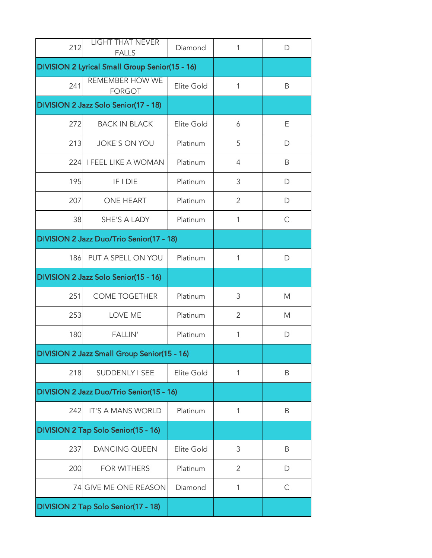| 212                                            | <b>LIGHT THAT NEVER</b><br><b>FALLS</b>     | Diamond    | 1              | D            |
|------------------------------------------------|---------------------------------------------|------------|----------------|--------------|
| DIVISION 2 Lyrical Small Group Senior(15 - 16) |                                             |            |                |              |
| 241                                            | <b>REMEMBER HOW WE</b><br><b>FORGOT</b>     | Elite Gold | 1              | B            |
|                                                | DIVISION 2 Jazz Solo Senior(17 - 18)        |            |                |              |
| 272                                            | <b>BACK IN BLACK</b>                        | Elite Gold | 6              | Ε            |
| 213                                            | <b>JOKE'S ON YOU</b>                        | Platinum   | 5              | D            |
| 224                                            | <b>I FEEL LIKE A WOMAN</b>                  | Platinum   | $\overline{4}$ | B            |
| 195                                            | <b>IF I DIE</b>                             | Platinum   | 3              | D            |
| 207                                            | <b>ONE HEART</b>                            | Platinum   | $\overline{2}$ | D            |
| 38                                             | SHE'S A LADY                                | Platinum   | 1              | $\mathsf{C}$ |
| DIVISION 2 Jazz Duo/Trio Senior(17 - 18)       |                                             |            |                |              |
| 186                                            | PUT A SPELL ON YOU                          | Platinum   | 1              | D            |
|                                                | DIVISION 2 Jazz Solo Senior(15 - 16)        |            |                |              |
| 251                                            | <b>COME TOGETHER</b>                        | Platinum   | 3              | M            |
| 253                                            | LOVE ME                                     | Platinum   | $\overline{2}$ | M            |
| 180                                            | <b>FALLIN'</b>                              | Platinum   | 1              | D            |
|                                                | DIVISION 2 Jazz Small Group Senior(15 - 16) |            |                |              |
| 218                                            | SUDDENLY I SEE                              | Elite Gold | 1              | B            |
|                                                | DIVISION 2 Jazz Duo/Trio Senior(15 - 16)    |            |                |              |
| 242                                            | IT'S A MANS WORLD                           | Platinum   | 1              | B            |
|                                                | DIVISION 2 Tap Solo Senior(15 - 16)         |            |                |              |
| 237                                            | <b>DANCING QUEEN</b>                        | Elite Gold | 3              | B            |
| 200                                            | <b>FOR WITHERS</b>                          | Platinum   | 2              | D            |
|                                                | 74 GIVE ME ONE REASON                       | Diamond    | 1              | $\mathsf{C}$ |
|                                                | DIVISION 2 Tap Solo Senior(17 - 18)         |            |                |              |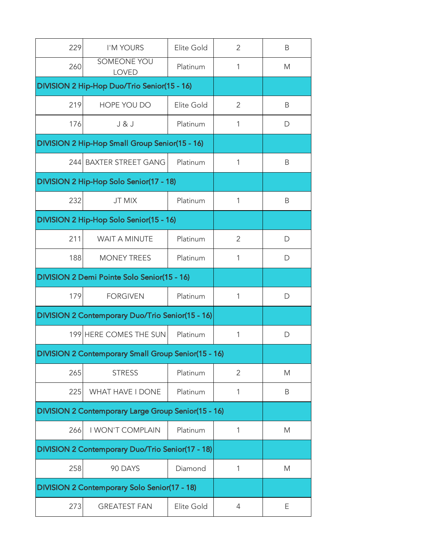| 229 | I'M YOURS                                                  | Elite Gold | $\overline{2}$ | B |
|-----|------------------------------------------------------------|------------|----------------|---|
| 260 | <b>SOMEONE YOU</b><br><b>LOVED</b>                         | Platinum   | 1              | M |
|     | DIVISION 2 Hip-Hop Duo/Trio Senior(15 - 16)                |            |                |   |
| 219 | HOPE YOU DO                                                | Elite Gold | $\overline{2}$ | B |
| 176 | J & J                                                      | Platinum   | 1              | D |
|     | DIVISION 2 Hip-Hop Small Group Senior(15 - 16)             |            |                |   |
|     | 244 BAXTER STREET GANG                                     | Platinum   | 1              | B |
|     | DIVISION 2 Hip-Hop Solo Senior(17 - 18)                    |            |                |   |
| 232 | <b>JT MIX</b>                                              | Platinum   | 1              | B |
|     | DIVISION 2 Hip-Hop Solo Senior(15 - 16)                    |            |                |   |
| 211 | <b>WAIT A MINUTE</b>                                       | Platinum   | $\overline{2}$ | D |
| 188 | <b>MONEY TREES</b>                                         | Platinum   | 1              | D |
|     | DIVISION 2 Demi Pointe Solo Senior(15 - 16)                |            |                |   |
| 179 | <b>FORGIVEN</b>                                            | Platinum   | 1              | D |
|     | <b>DIVISION 2 Contemporary Duo/Trio Senior(15 - 16)</b>    |            |                |   |
|     | 199 HERE COMES THE SUN                                     | Platinum   | 1              | D |
|     | DIVISION 2 Contemporary Small Group Senior(15 - 16)        |            |                |   |
| 265 | <b>STRESS</b>                                              | Platinum   | $\overline{2}$ | M |
| 225 | WHAT HAVE I DONE                                           | Platinum   | 1              | B |
|     | <b>DIVISION 2 Contemporary Large Group Senior(15 - 16)</b> |            |                |   |
| 266 | <b>I WON'T COMPLAIN</b>                                    | Platinum   | 1              | M |
|     | <b>DIVISION 2 Contemporary Duo/Trio Senior(17 - 18)</b>    |            |                |   |
| 258 | 90 DAYS                                                    | Diamond    | 1              | M |
|     | DIVISION 2 Contemporary Solo Senior(17 - 18)               |            |                |   |
| 273 | <b>GREATEST FAN</b>                                        | Elite Gold | 4              | Ε |